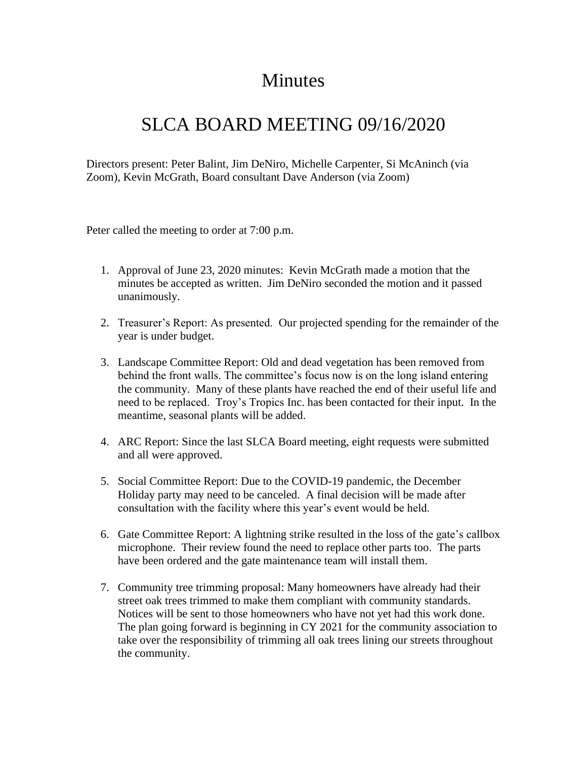## Minutes

## SLCA BOARD MEETING 09/16/2020

Directors present: Peter Balint, Jim DeNiro, Michelle Carpenter, Si McAninch (via Zoom), Kevin McGrath, Board consultant Dave Anderson (via Zoom)

Peter called the meeting to order at 7:00 p.m.

- 1. Approval of June 23, 2020 minutes: Kevin McGrath made a motion that the minutes be accepted as written. Jim DeNiro seconded the motion and it passed unanimously.
- 2. Treasurer's Report: As presented. Our projected spending for the remainder of the year is under budget.
- 3. Landscape Committee Report: Old and dead vegetation has been removed from behind the front walls. The committee's focus now is on the long island entering the community. Many of these plants have reached the end of their useful life and need to be replaced. Troy's Tropics Inc. has been contacted for their input. In the meantime, seasonal plants will be added.
- 4. ARC Report: Since the last SLCA Board meeting, eight requests were submitted and all were approved.
- 5. Social Committee Report: Due to the COVID-19 pandemic, the December Holiday party may need to be canceled. A final decision will be made after consultation with the facility where this year's event would be held.
- 6. Gate Committee Report: A lightning strike resulted in the loss of the gate's callbox microphone. Their review found the need to replace other parts too. The parts have been ordered and the gate maintenance team will install them.
- 7. Community tree trimming proposal: Many homeowners have already had their street oak trees trimmed to make them compliant with community standards. Notices will be sent to those homeowners who have not yet had this work done. The plan going forward is beginning in CY 2021 for the community association to take over the responsibility of trimming all oak trees lining our streets throughout the community.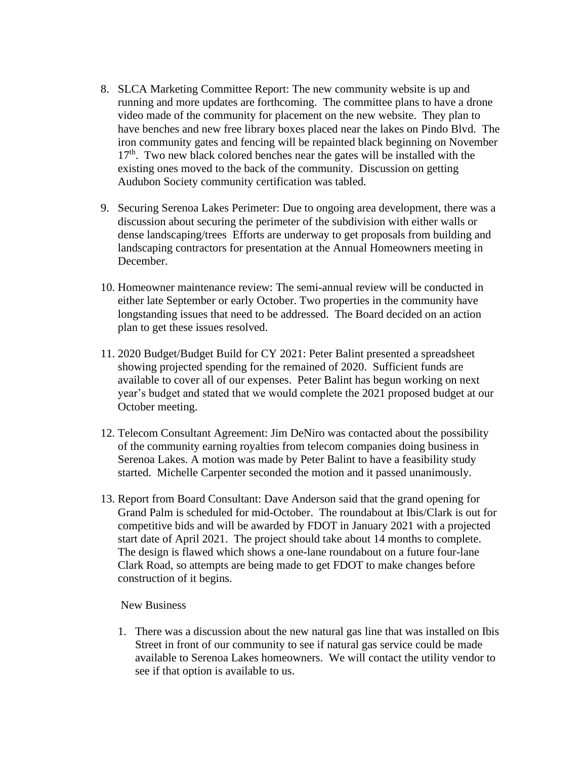- 8. SLCA Marketing Committee Report: The new community website is up and running and more updates are forthcoming. The committee plans to have a drone video made of the community for placement on the new website. They plan to have benches and new free library boxes placed near the lakes on Pindo Blvd. The iron community gates and fencing will be repainted black beginning on November  $17<sup>th</sup>$ . Two new black colored benches near the gates will be installed with the existing ones moved to the back of the community. Discussion on getting Audubon Society community certification was tabled.
- 9. Securing Serenoa Lakes Perimeter: Due to ongoing area development, there was a discussion about securing the perimeter of the subdivision with either walls or dense landscaping/trees Efforts are underway to get proposals from building and landscaping contractors for presentation at the Annual Homeowners meeting in December.
- 10. Homeowner maintenance review: The semi-annual review will be conducted in either late September or early October. Two properties in the community have longstanding issues that need to be addressed. The Board decided on an action plan to get these issues resolved.
- 11. 2020 Budget/Budget Build for CY 2021: Peter Balint presented a spreadsheet showing projected spending for the remained of 2020. Sufficient funds are available to cover all of our expenses. Peter Balint has begun working on next year's budget and stated that we would complete the 2021 proposed budget at our October meeting.
- 12. Telecom Consultant Agreement: Jim DeNiro was contacted about the possibility of the community earning royalties from telecom companies doing business in Serenoa Lakes. A motion was made by Peter Balint to have a feasibility study started. Michelle Carpenter seconded the motion and it passed unanimously.
- 13. Report from Board Consultant: Dave Anderson said that the grand opening for Grand Palm is scheduled for mid-October. The roundabout at Ibis/Clark is out for competitive bids and will be awarded by FDOT in January 2021 with a projected start date of April 2021. The project should take about 14 months to complete. The design is flawed which shows a one-lane roundabout on a future four-lane Clark Road, so attempts are being made to get FDOT to make changes before construction of it begins.

## New Business

1. There was a discussion about the new natural gas line that was installed on Ibis Street in front of our community to see if natural gas service could be made available to Serenoa Lakes homeowners. We will contact the utility vendor to see if that option is available to us.